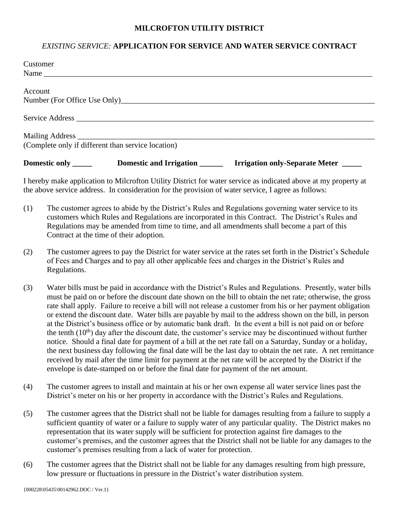## **MILCROFTON UTILITY DISTRICT**

## *EXISTING SERVICE:* **APPLICATION FOR SERVICE AND WATER SERVICE CONTRACT**

| Customer             |                                                    |                                     |
|----------------------|----------------------------------------------------|-------------------------------------|
|                      | Name                                               |                                     |
|                      |                                                    |                                     |
| Account              |                                                    |                                     |
|                      |                                                    |                                     |
|                      |                                                    |                                     |
|                      |                                                    |                                     |
|                      |                                                    |                                     |
|                      | (Complete only if different than service location) |                                     |
| Domestic only ______ | Domestic and Irrigation                            | Irrigation only-Separate Meter ____ |

I hereby make application to Milcrofton Utility District for water service as indicated above at my property at the above service address. In consideration for the provision of water service, I agree as follows:

- (1) The customer agrees to abide by the District's Rules and Regulations governing water service to its customers which Rules and Regulations are incorporated in this Contract. The District's Rules and Regulations may be amended from time to time, and all amendments shall become a part of this Contract at the time of their adoption.
- (2) The customer agrees to pay the District for water service at the rates set forth in the District's Schedule of Fees and Charges and to pay all other applicable fees and charges in the District's Rules and Regulations.
- (3) Water bills must be paid in accordance with the District's Rules and Regulations. Presently, water bills must be paid on or before the discount date shown on the bill to obtain the net rate; otherwise, the gross rate shall apply. Failure to receive a bill will not release a customer from his or her payment obligation or extend the discount date. Water bills are payable by mail to the address shown on the bill, in person at the District's business office or by automatic bank draft. In the event a bill is not paid on or before the tenth  $(10<sup>th</sup>)$  day after the discount date, the customer's service may be discontinued without further notice. Should a final date for payment of a bill at the net rate fall on a Saturday, Sunday or a holiday, the next business day following the final date will be the last day to obtain the net rate. A net remittance received by mail after the time limit for payment at the net rate will be accepted by the District if the envelope is date-stamped on or before the final date for payment of the net amount.
- (4) The customer agrees to install and maintain at his or her own expense all water service lines past the District's meter on his or her property in accordance with the District's Rules and Regulations.
- (5) The customer agrees that the District shall not be liable for damages resulting from a failure to supply a sufficient quantity of water or a failure to supply water of any particular quality. The District makes no representation that its water supply will be sufficient for protection against fire damages to the customer's premises, and the customer agrees that the District shall not be liable for any damages to the customer's premises resulting from a lack of water for protection.
- (6) The customer agrees that the District shall not be liable for any damages resulting from high pressure, low pressure or fluctuations in pressure in the District's water distribution system.